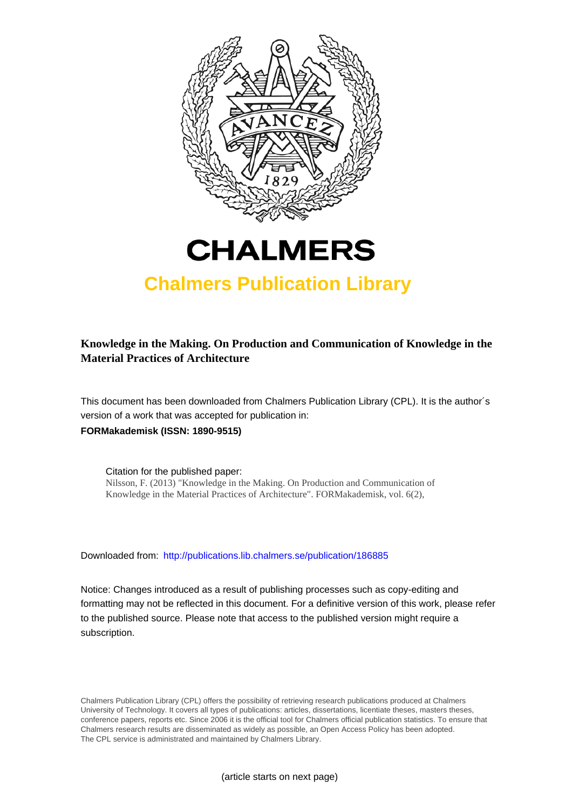



# **Chalmers Publication Library**

# **Knowledge in the Making. On Production and Communication of Knowledge in the Material Practices of Architecture**

This document has been downloaded from Chalmers Publication Library (CPL). It is the author´s version of a work that was accepted for publication in: **FORMakademisk (ISSN: 1890-9515)**

Citation for the published paper: Nilsson, F. (2013) "Knowledge in the Making. On Production and Communication of Knowledge in the Material Practices of Architecture". FORMakademisk, vol. 6(2),

Downloaded from: <http://publications.lib.chalmers.se/publication/186885>

Notice: Changes introduced as a result of publishing processes such as copy-editing and formatting may not be reflected in this document. For a definitive version of this work, please refer to the published source. Please note that access to the published version might require a subscription.

Chalmers Publication Library (CPL) offers the possibility of retrieving research publications produced at Chalmers University of Technology. It covers all types of publications: articles, dissertations, licentiate theses, masters theses, conference papers, reports etc. Since 2006 it is the official tool for Chalmers official publication statistics. To ensure that Chalmers research results are disseminated as widely as possible, an Open Access Policy has been adopted. The CPL service is administrated and maintained by Chalmers Library.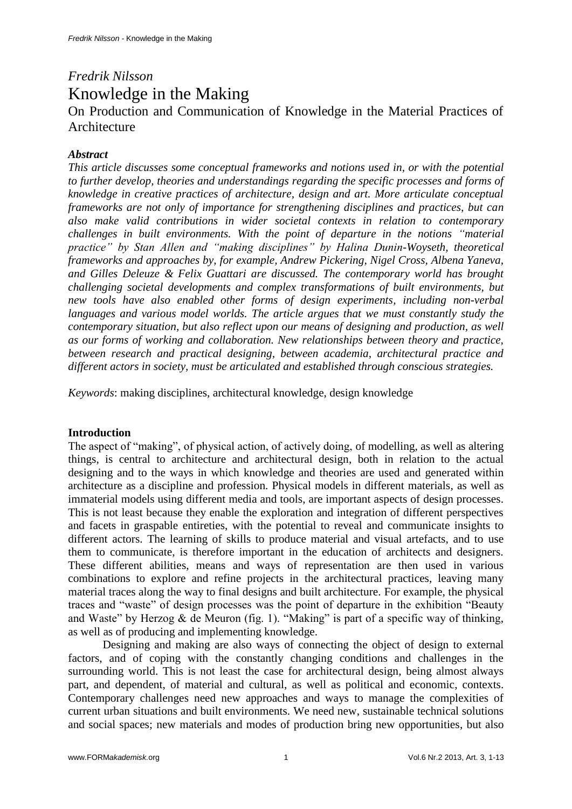# *Fredrik Nilsson* Knowledge in the Making On Production and Communication of Knowledge in the Material Practices of Architecture

## *Abstract*

*This article discusses some conceptual frameworks and notions used in, or with the potential to further develop, theories and understandings regarding the specific processes and forms of knowledge in creative practices of architecture, design and art. More articulate conceptual frameworks are not only of importance for strengthening disciplines and practices, but can also make valid contributions in wider societal contexts in relation to contemporary challenges in built environments. With the point of departure in the notions "material practice" by Stan Allen and "making disciplines" by Halina Dunin-Woyseth, theoretical frameworks and approaches by, for example, Andrew Pickering, Nigel Cross, Albena Yaneva, and Gilles Deleuze & Felix Guattari are discussed. The contemporary world has brought challenging societal developments and complex transformations of built environments, but new tools have also enabled other forms of design experiments, including non-verbal languages and various model worlds. The article argues that we must constantly study the contemporary situation, but also reflect upon our means of designing and production, as well as our forms of working and collaboration. New relationships between theory and practice, between research and practical designing, between academia, architectural practice and different actors in society, must be articulated and established through conscious strategies.*

*Keywords*: making disciplines, architectural knowledge, design knowledge

### **Introduction**

The aspect of "making", of physical action, of actively doing, of modelling, as well as altering things, is central to architecture and architectural design, both in relation to the actual designing and to the ways in which knowledge and theories are used and generated within architecture as a discipline and profession. Physical models in different materials, as well as immaterial models using different media and tools, are important aspects of design processes. This is not least because they enable the exploration and integration of different perspectives and facets in graspable entireties, with the potential to reveal and communicate insights to different actors. The learning of skills to produce material and visual artefacts, and to use them to communicate, is therefore important in the education of architects and designers. These different abilities, means and ways of representation are then used in various combinations to explore and refine projects in the architectural practices, leaving many material traces along the way to final designs and built architecture. For example, the physical traces and "waste" of design processes was the point of departure in the exhibition "Beauty and Waste" by Herzog & de Meuron (fig. 1). "Making" is part of a specific way of thinking, as well as of producing and implementing knowledge.

Designing and making are also ways of connecting the object of design to external factors, and of coping with the constantly changing conditions and challenges in the surrounding world. This is not least the case for architectural design, being almost always part, and dependent, of material and cultural, as well as political and economic, contexts. Contemporary challenges need new approaches and ways to manage the complexities of current urban situations and built environments. We need new, sustainable technical solutions and social spaces; new materials and modes of production bring new opportunities, but also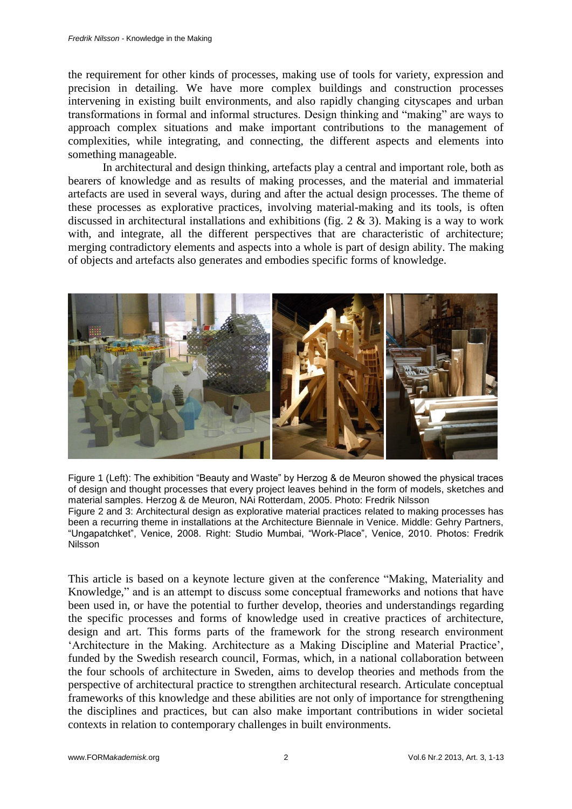the requirement for other kinds of processes, making use of tools for variety, expression and precision in detailing. We have more complex buildings and construction processes intervening in existing built environments, and also rapidly changing cityscapes and urban transformations in formal and informal structures. Design thinking and "making" are ways to approach complex situations and make important contributions to the management of complexities, while integrating, and connecting, the different aspects and elements into something manageable.

In architectural and design thinking, artefacts play a central and important role, both as bearers of knowledge and as results of making processes, and the material and immaterial artefacts are used in several ways, during and after the actual design processes. The theme of these processes as explorative practices, involving material-making and its tools, is often discussed in architectural installations and exhibitions (fig. 2 & 3). Making is a way to work with, and integrate, all the different perspectives that are characteristic of architecture; merging contradictory elements and aspects into a whole is part of design ability. The making of objects and artefacts also generates and embodies specific forms of knowledge.



Figure 1 (Left): The exhibition "Beauty and Waste" by Herzog & de Meuron showed the physical traces of design and thought processes that every project leaves behind in the form of models, sketches and material samples. Herzog & de Meuron, NAi Rotterdam, 2005. Photo: Fredrik Nilsson Figure 2 and 3: Architectural design as explorative material practices related to making processes has been a recurring theme in installations at the Architecture Biennale in Venice. Middle: Gehry Partners, "Ungapatchket", Venice, 2008. Right: Studio Mumbai, "Work-Place", Venice, 2010. Photos: Fredrik Nilsson

This article is based on a keynote lecture given at the conference "Making, Materiality and Knowledge," and is an attempt to discuss some conceptual frameworks and notions that have been used in, or have the potential to further develop, theories and understandings regarding the specific processes and forms of knowledge used in creative practices of architecture, design and art. This forms parts of the framework for the strong research environment 'Architecture in the Making. Architecture as a Making Discipline and Material Practice', funded by the Swedish research council, Formas, which, in a national collaboration between the four schools of architecture in Sweden, aims to develop theories and methods from the perspective of architectural practice to strengthen architectural research. Articulate conceptual frameworks of this knowledge and these abilities are not only of importance for strengthening the disciplines and practices, but can also make important contributions in wider societal contexts in relation to contemporary challenges in built environments.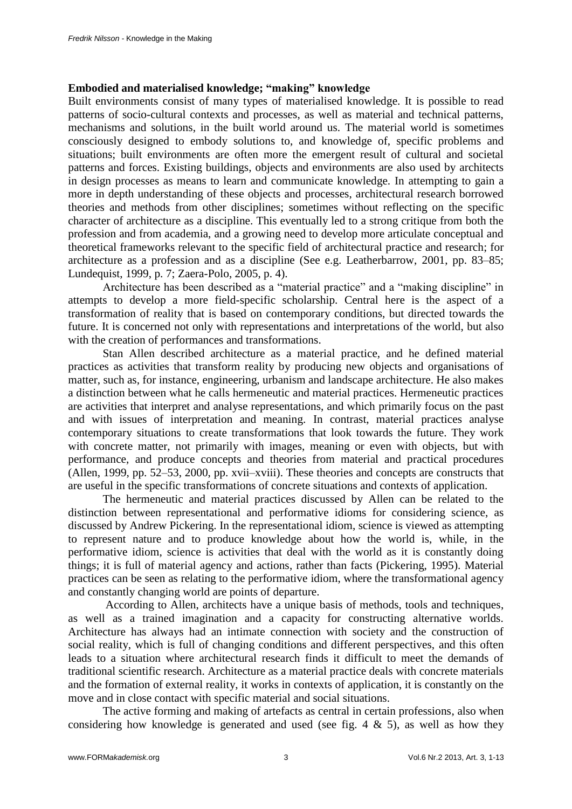### **Embodied and materialised knowledge; "making" knowledge**

Built environments consist of many types of materialised knowledge. It is possible to read patterns of socio-cultural contexts and processes, as well as material and technical patterns, mechanisms and solutions, in the built world around us. The material world is sometimes consciously designed to embody solutions to, and knowledge of, specific problems and situations; built environments are often more the emergent result of cultural and societal patterns and forces. Existing buildings, objects and environments are also used by architects in design processes as means to learn and communicate knowledge. In attempting to gain a more in depth understanding of these objects and processes, architectural research borrowed theories and methods from other disciplines; sometimes without reflecting on the specific character of architecture as a discipline. This eventually led to a strong critique from both the profession and from academia, and a growing need to develop more articulate conceptual and theoretical frameworks relevant to the specific field of architectural practice and research; for architecture as a profession and as a discipline (See e.g. Leatherbarrow, 2001, pp. 83–85; Lundequist, 1999, p. 7; Zaera-Polo, 2005, p. 4).

Architecture has been described as a "material practice" and a "making discipline" in attempts to develop a more field-specific scholarship. Central here is the aspect of a transformation of reality that is based on contemporary conditions, but directed towards the future. It is concerned not only with representations and interpretations of the world, but also with the creation of performances and transformations.

Stan Allen described architecture as a material practice, and he defined material practices as activities that transform reality by producing new objects and organisations of matter, such as, for instance, engineering, urbanism and landscape architecture. He also makes a distinction between what he calls hermeneutic and material practices. Hermeneutic practices are activities that interpret and analyse representations, and which primarily focus on the past and with issues of interpretation and meaning. In contrast, material practices analyse contemporary situations to create transformations that look towards the future. They work with concrete matter, not primarily with images, meaning or even with objects, but with performance, and produce concepts and theories from material and practical procedures (Allen, 1999, pp. 52–53, 2000, pp. xvii–xviii). These theories and concepts are constructs that are useful in the specific transformations of concrete situations and contexts of application.

The hermeneutic and material practices discussed by Allen can be related to the distinction between representational and performative idioms for considering science, as discussed by Andrew Pickering. In the representational idiom, science is viewed as attempting to represent nature and to produce knowledge about how the world is, while, in the performative idiom, science is activities that deal with the world as it is constantly doing things; it is full of material agency and actions, rather than facts (Pickering, 1995). Material practices can be seen as relating to the performative idiom, where the transformational agency and constantly changing world are points of departure.

According to Allen, architects have a unique basis of methods, tools and techniques, as well as a trained imagination and a capacity for constructing alternative worlds. Architecture has always had an intimate connection with society and the construction of social reality, which is full of changing conditions and different perspectives, and this often leads to a situation where architectural research finds it difficult to meet the demands of traditional scientific research. Architecture as a material practice deals with concrete materials and the formation of external reality, it works in contexts of application, it is constantly on the move and in close contact with specific material and social situations.

The active forming and making of artefacts as central in certain professions, also when considering how knowledge is generated and used (see fig. 4  $\&$  5), as well as how they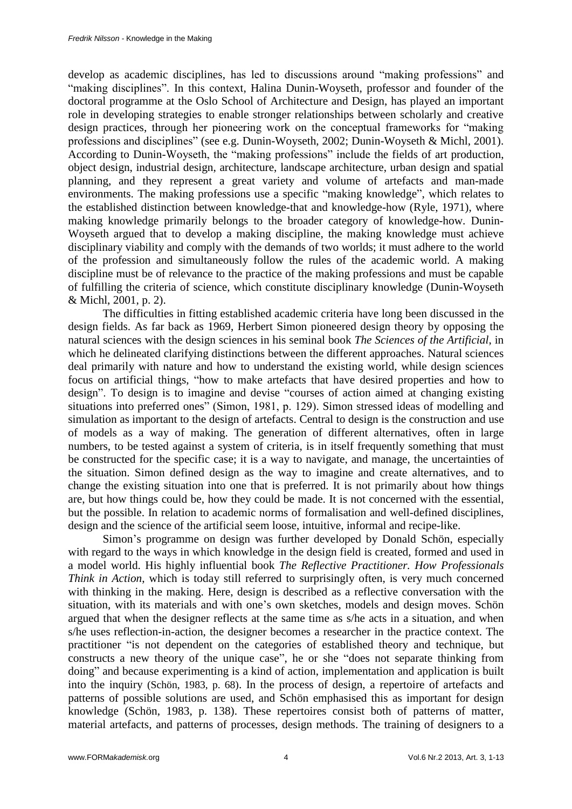develop as academic disciplines, has led to discussions around "making professions" and "making disciplines". In this context, Halina Dunin-Woyseth, professor and founder of the doctoral programme at the Oslo School of Architecture and Design, has played an important role in developing strategies to enable stronger relationships between scholarly and creative design practices, through her pioneering work on the conceptual frameworks for "making professions and disciplines" (see e.g. Dunin-Woyseth, 2002; Dunin-Woyseth & Michl, 2001). According to Dunin-Woyseth, the "making professions" include the fields of art production, object design, industrial design, architecture, landscape architecture, urban design and spatial planning, and they represent a great variety and volume of artefacts and man-made environments. The making professions use a specific "making knowledge", which relates to the established distinction between knowledge-that and knowledge-how (Ryle, 1971), where making knowledge primarily belongs to the broader category of knowledge-how. Dunin-Woyseth argued that to develop a making discipline, the making knowledge must achieve disciplinary viability and comply with the demands of two worlds; it must adhere to the world of the profession and simultaneously follow the rules of the academic world. A making discipline must be of relevance to the practice of the making professions and must be capable of fulfilling the criteria of science, which constitute disciplinary knowledge (Dunin-Woyseth & Michl, 2001, p. 2).

The difficulties in fitting established academic criteria have long been discussed in the design fields. As far back as 1969, Herbert Simon pioneered design theory by opposing the natural sciences with the design sciences in his seminal book *The Sciences of the Artificial*, in which he delineated clarifying distinctions between the different approaches. Natural sciences deal primarily with nature and how to understand the existing world, while design sciences focus on artificial things, "how to make artefacts that have desired properties and how to design". To design is to imagine and devise "courses of action aimed at changing existing situations into preferred ones" (Simon, 1981, p. 129). Simon stressed ideas of modelling and simulation as important to the design of artefacts. Central to design is the construction and use of models as a way of making. The generation of different alternatives, often in large numbers, to be tested against a system of criteria, is in itself frequently something that must be constructed for the specific case; it is a way to navigate, and manage, the uncertainties of the situation. Simon defined design as the way to imagine and create alternatives, and to change the existing situation into one that is preferred. It is not primarily about how things are, but how things could be, how they could be made. It is not concerned with the essential, but the possible. In relation to academic norms of formalisation and well-defined disciplines, design and the science of the artificial seem loose, intuitive, informal and recipe-like.

Simon's programme on design was further developed by Donald Schön, especially with regard to the ways in which knowledge in the design field is created, formed and used in a model world. His highly influential book *The Reflective Practitioner. How Professionals Think in Action*, which is today still referred to surprisingly often, is very much concerned with thinking in the making. Here, design is described as a reflective conversation with the situation, with its materials and with one's own sketches, models and design moves. Schön argued that when the designer reflects at the same time as s/he acts in a situation, and when s/he uses reflection-in-action, the designer becomes a researcher in the practice context. The practitioner "is not dependent on the categories of established theory and technique, but constructs a new theory of the unique case", he or she "does not separate thinking from doing" and because experimenting is a kind of action, implementation and application is built into the inquiry (Schön, 1983, p. 68). In the process of design, a repertoire of artefacts and patterns of possible solutions are used, and Schön emphasised this as important for design knowledge (Schön, 1983, p. 138). These repertoires consist both of patterns of matter, material artefacts, and patterns of processes, design methods. The training of designers to a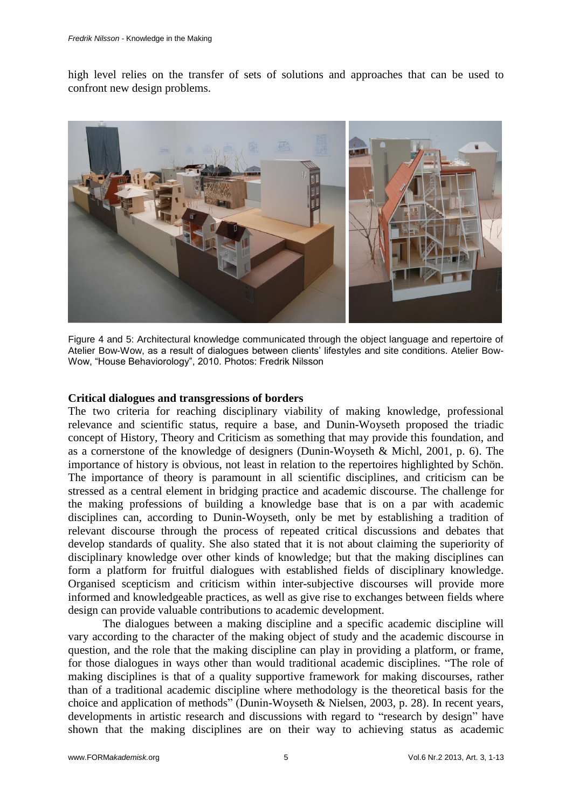high level relies on the transfer of sets of solutions and approaches that can be used to confront new design problems.



Figure 4 and 5: Architectural knowledge communicated through the object language and repertoire of Atelier Bow-Wow, as a result of dialogues between clients' lifestyles and site conditions. Atelier Bow-Wow, "House Behaviorology", 2010. Photos: Fredrik Nilsson

#### **Critical dialogues and transgressions of borders**

The two criteria for reaching disciplinary viability of making knowledge, professional relevance and scientific status, require a base, and Dunin-Woyseth proposed the triadic concept of History, Theory and Criticism as something that may provide this foundation, and as a cornerstone of the knowledge of designers (Dunin-Woyseth & Michl, 2001, p. 6). The importance of history is obvious, not least in relation to the repertoires highlighted by Schön. The importance of theory is paramount in all scientific disciplines, and criticism can be stressed as a central element in bridging practice and academic discourse. The challenge for the making professions of building a knowledge base that is on a par with academic disciplines can, according to Dunin-Woyseth, only be met by establishing a tradition of relevant discourse through the process of repeated critical discussions and debates that develop standards of quality. She also stated that it is not about claiming the superiority of disciplinary knowledge over other kinds of knowledge; but that the making disciplines can form a platform for fruitful dialogues with established fields of disciplinary knowledge. Organised scepticism and criticism within inter-subjective discourses will provide more informed and knowledgeable practices, as well as give rise to exchanges between fields where design can provide valuable contributions to academic development.

The dialogues between a making discipline and a specific academic discipline will vary according to the character of the making object of study and the academic discourse in question, and the role that the making discipline can play in providing a platform, or frame, for those dialogues in ways other than would traditional academic disciplines. "The role of making disciplines is that of a quality supportive framework for making discourses, rather than of a traditional academic discipline where methodology is the theoretical basis for the choice and application of methods" (Dunin-Woyseth & Nielsen, 2003, p. 28). In recent years, developments in artistic research and discussions with regard to "research by design" have shown that the making disciplines are on their way to achieving status as academic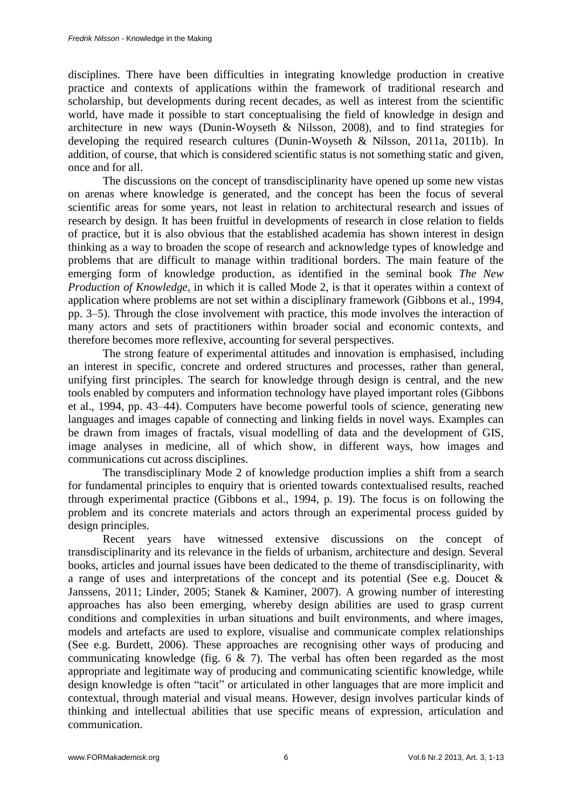disciplines. There have been difficulties in integrating knowledge production in creative practice and contexts of applications within the framework of traditional research and scholarship, but developments during recent decades, as well as interest from the scientific world, have made it possible to start conceptualising the field of knowledge in design and architecture in new ways (Dunin-Woyseth & Nilsson, 2008), and to find strategies for developing the required research cultures (Dunin-Woyseth & Nilsson, 2011a, 2011b). In addition, of course, that which is considered scientific status is not something static and given, once and for all.

The discussions on the concept of transdisciplinarity have opened up some new vistas on arenas where knowledge is generated, and the concept has been the focus of several scientific areas for some years, not least in relation to architectural research and issues of research by design. It has been fruitful in developments of research in close relation to fields of practice, but it is also obvious that the established academia has shown interest in design thinking as a way to broaden the scope of research and acknowledge types of knowledge and problems that are difficult to manage within traditional borders. The main feature of the emerging form of knowledge production, as identified in the seminal book *The New Production of Knowledge*, in which it is called Mode 2, is that it operates within a context of application where problems are not set within a disciplinary framework (Gibbons et al., 1994, pp. 3–5). Through the close involvement with practice, this mode involves the interaction of many actors and sets of practitioners within broader social and economic contexts, and therefore becomes more reflexive, accounting for several perspectives.

The strong feature of experimental attitudes and innovation is emphasised, including an interest in specific, concrete and ordered structures and processes, rather than general, unifying first principles. The search for knowledge through design is central, and the new tools enabled by computers and information technology have played important roles (Gibbons et al., 1994, pp. 43–44). Computers have become powerful tools of science, generating new languages and images capable of connecting and linking fields in novel ways. Examples can be drawn from images of fractals, visual modelling of data and the development of GIS, image analyses in medicine, all of which show, in different ways, how images and communications cut across disciplines.

The transdisciplinary Mode 2 of knowledge production implies a shift from a search for fundamental principles to enquiry that is oriented towards contextualised results, reached through experimental practice (Gibbons et al., 1994, p. 19). The focus is on following the problem and its concrete materials and actors through an experimental process guided by design principles.

Recent years have witnessed extensive discussions on the concept of transdisciplinarity and its relevance in the fields of urbanism, architecture and design. Several books, articles and journal issues have been dedicated to the theme of transdisciplinarity, with a range of uses and interpretations of the concept and its potential (See e.g. Doucet & Janssens, 2011; Linder, 2005; Stanek & Kaminer, 2007). A growing number of interesting approaches has also been emerging, whereby design abilities are used to grasp current conditions and complexities in urban situations and built environments, and where images, models and artefacts are used to explore, visualise and communicate complex relationships (See e.g. Burdett, 2006). These approaches are recognising other ways of producing and communicating knowledge (fig.  $6 \& 7$ ). The verbal has often been regarded as the most appropriate and legitimate way of producing and communicating scientific knowledge, while design knowledge is often "tacit" or articulated in other languages that are more implicit and contextual, through material and visual means. However, design involves particular kinds of thinking and intellectual abilities that use specific means of expression, articulation and communication.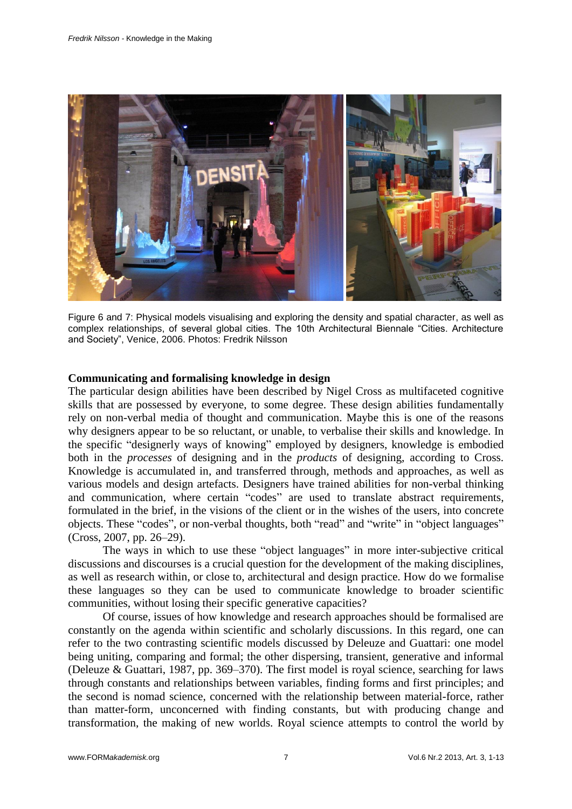

Figure 6 and 7: Physical models visualising and exploring the density and spatial character, as well as complex relationships, of several global cities. The 10th Architectural Biennale "Cities. Architecture and Society", Venice, 2006. Photos: Fredrik Nilsson

#### **Communicating and formalising knowledge in design**

The particular design abilities have been described by Nigel Cross as multifaceted cognitive skills that are possessed by everyone, to some degree. These design abilities fundamentally rely on non-verbal media of thought and communication. Maybe this is one of the reasons why designers appear to be so reluctant, or unable, to verbalise their skills and knowledge. In the specific "designerly ways of knowing" employed by designers, knowledge is embodied both in the *processes* of designing and in the *products* of designing, according to Cross. Knowledge is accumulated in, and transferred through, methods and approaches, as well as various models and design artefacts. Designers have trained abilities for non-verbal thinking and communication, where certain "codes" are used to translate abstract requirements, formulated in the brief, in the visions of the client or in the wishes of the users, into concrete objects. These "codes", or non-verbal thoughts, both "read" and "write" in "object languages" (Cross, 2007, pp. 26–29).

The ways in which to use these "object languages" in more inter-subjective critical discussions and discourses is a crucial question for the development of the making disciplines, as well as research within, or close to, architectural and design practice. How do we formalise these languages so they can be used to communicate knowledge to broader scientific communities, without losing their specific generative capacities?

Of course, issues of how knowledge and research approaches should be formalised are constantly on the agenda within scientific and scholarly discussions. In this regard, one can refer to the two contrasting scientific models discussed by Deleuze and Guattari: one model being uniting, comparing and formal; the other dispersing, transient, generative and informal (Deleuze & Guattari, 1987, pp. 369–370). The first model is royal science, searching for laws through constants and relationships between variables, finding forms and first principles; and the second is nomad science, concerned with the relationship between material-force, rather than matter-form, unconcerned with finding constants, but with producing change and transformation, the making of new worlds. Royal science attempts to control the world by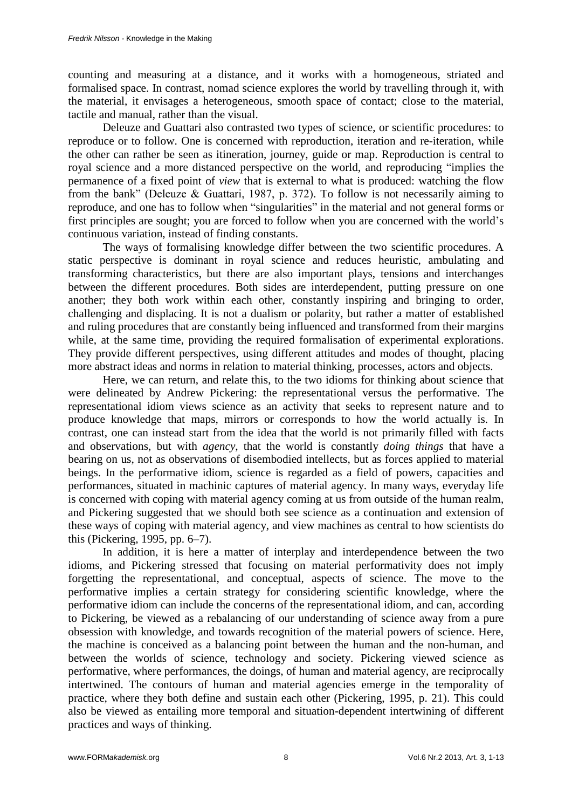counting and measuring at a distance, and it works with a homogeneous, striated and formalised space. In contrast, nomad science explores the world by travelling through it, with the material, it envisages a heterogeneous, smooth space of contact; close to the material, tactile and manual, rather than the visual.

Deleuze and Guattari also contrasted two types of science, or scientific procedures: to reproduce or to follow. One is concerned with reproduction, iteration and re-iteration, while the other can rather be seen as itineration, journey, guide or map. Reproduction is central to royal science and a more distanced perspective on the world, and reproducing "implies the permanence of a fixed point of *view* that is external to what is produced: watching the flow from the bank" (Deleuze & Guattari, 1987, p. 372). To follow is not necessarily aiming to reproduce, and one has to follow when "singularities" in the material and not general forms or first principles are sought; you are forced to follow when you are concerned with the world's continuous variation, instead of finding constants.

The ways of formalising knowledge differ between the two scientific procedures. A static perspective is dominant in royal science and reduces heuristic, ambulating and transforming characteristics, but there are also important plays, tensions and interchanges between the different procedures. Both sides are interdependent, putting pressure on one another; they both work within each other, constantly inspiring and bringing to order, challenging and displacing. It is not a dualism or polarity, but rather a matter of established and ruling procedures that are constantly being influenced and transformed from their margins while, at the same time, providing the required formalisation of experimental explorations. They provide different perspectives, using different attitudes and modes of thought, placing more abstract ideas and norms in relation to material thinking, processes, actors and objects.

Here, we can return, and relate this, to the two idioms for thinking about science that were delineated by Andrew Pickering: the representational versus the performative. The representational idiom views science as an activity that seeks to represent nature and to produce knowledge that maps, mirrors or corresponds to how the world actually is. In contrast, one can instead start from the idea that the world is not primarily filled with facts and observations, but with *agency*, that the world is constantly *doing things* that have a bearing on us, not as observations of disembodied intellects, but as forces applied to material beings. In the performative idiom, science is regarded as a field of powers, capacities and performances, situated in machinic captures of material agency. In many ways, everyday life is concerned with coping with material agency coming at us from outside of the human realm, and Pickering suggested that we should both see science as a continuation and extension of these ways of coping with material agency, and view machines as central to how scientists do this (Pickering, 1995, pp. 6–7).

In addition, it is here a matter of interplay and interdependence between the two idioms, and Pickering stressed that focusing on material performativity does not imply forgetting the representational, and conceptual, aspects of science. The move to the performative implies a certain strategy for considering scientific knowledge, where the performative idiom can include the concerns of the representational idiom, and can, according to Pickering, be viewed as a rebalancing of our understanding of science away from a pure obsession with knowledge, and towards recognition of the material powers of science. Here, the machine is conceived as a balancing point between the human and the non-human, and between the worlds of science, technology and society. Pickering viewed science as performative, where performances, the doings, of human and material agency, are reciprocally intertwined. The contours of human and material agencies emerge in the temporality of practice, where they both define and sustain each other (Pickering, 1995, p. 21). This could also be viewed as entailing more temporal and situation-dependent intertwining of different practices and ways of thinking.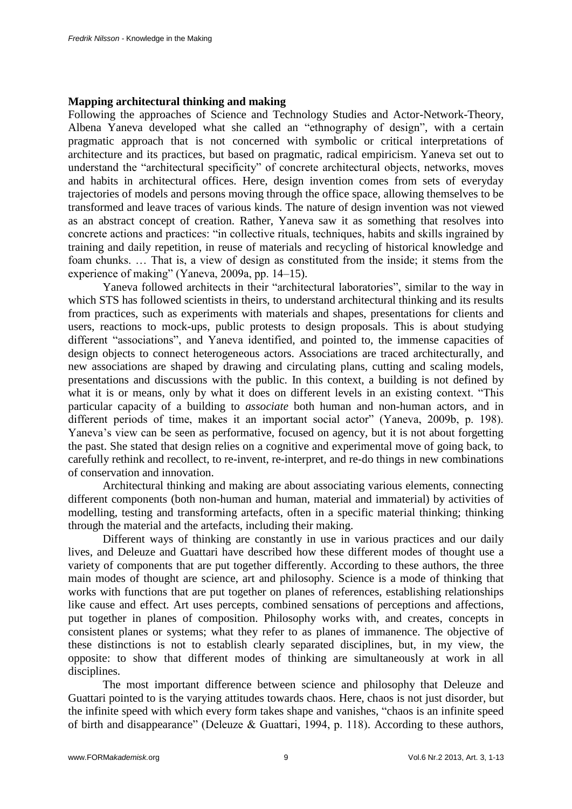#### **Mapping architectural thinking and making**

Following the approaches of Science and Technology Studies and Actor-Network-Theory, Albena Yaneva developed what she called an "ethnography of design", with a certain pragmatic approach that is not concerned with symbolic or critical interpretations of architecture and its practices, but based on pragmatic, radical empiricism. Yaneva set out to understand the "architectural specificity" of concrete architectural objects, networks, moves and habits in architectural offices. Here, design invention comes from sets of everyday trajectories of models and persons moving through the office space, allowing themselves to be transformed and leave traces of various kinds. The nature of design invention was not viewed as an abstract concept of creation. Rather, Yaneva saw it as something that resolves into concrete actions and practices: "in collective rituals, techniques, habits and skills ingrained by training and daily repetition, in reuse of materials and recycling of historical knowledge and foam chunks. … That is, a view of design as constituted from the inside; it stems from the experience of making" (Yaneva, 2009a, pp. 14–15).

Yaneva followed architects in their "architectural laboratories", similar to the way in which STS has followed scientists in theirs, to understand architectural thinking and its results from practices, such as experiments with materials and shapes, presentations for clients and users, reactions to mock-ups, public protests to design proposals. This is about studying different "associations", and Yaneva identified, and pointed to, the immense capacities of design objects to connect heterogeneous actors. Associations are traced architecturally, and new associations are shaped by drawing and circulating plans, cutting and scaling models, presentations and discussions with the public. In this context, a building is not defined by what it is or means, only by what it does on different levels in an existing context. "This particular capacity of a building to *associate* both human and non-human actors, and in different periods of time, makes it an important social actor" (Yaneva, 2009b, p. 198). Yaneva's view can be seen as performative, focused on agency, but it is not about forgetting the past. She stated that design relies on a cognitive and experimental move of going back, to carefully rethink and recollect, to re-invent, re-interpret, and re-do things in new combinations of conservation and innovation.

Architectural thinking and making are about associating various elements, connecting different components (both non-human and human, material and immaterial) by activities of modelling, testing and transforming artefacts, often in a specific material thinking; thinking through the material and the artefacts, including their making.

Different ways of thinking are constantly in use in various practices and our daily lives, and Deleuze and Guattari have described how these different modes of thought use a variety of components that are put together differently. According to these authors, the three main modes of thought are science, art and philosophy. Science is a mode of thinking that works with functions that are put together on planes of references, establishing relationships like cause and effect. Art uses percepts, combined sensations of perceptions and affections, put together in planes of composition. Philosophy works with, and creates, concepts in consistent planes or systems; what they refer to as planes of immanence. The objective of these distinctions is not to establish clearly separated disciplines, but, in my view, the opposite: to show that different modes of thinking are simultaneously at work in all disciplines.

The most important difference between science and philosophy that Deleuze and Guattari pointed to is the varying attitudes towards chaos. Here, chaos is not just disorder, but the infinite speed with which every form takes shape and vanishes, "chaos is an infinite speed of birth and disappearance" (Deleuze & Guattari, 1994, p. 118). According to these authors,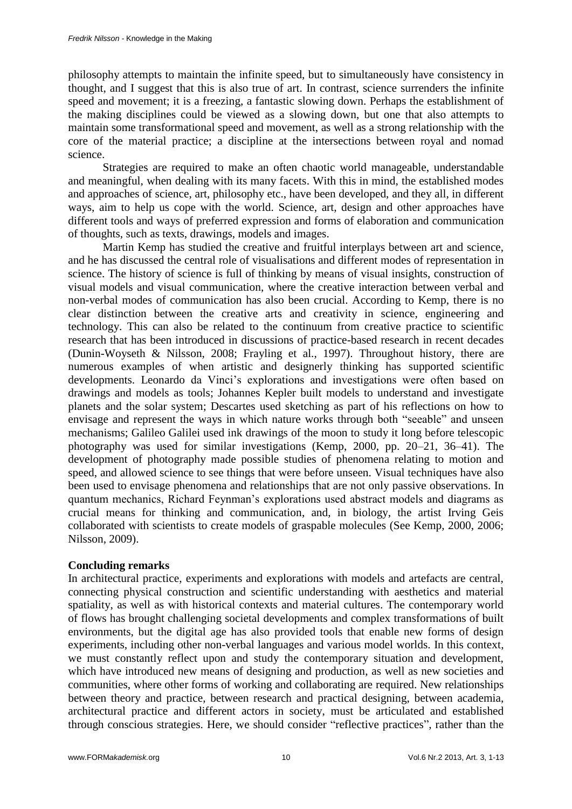philosophy attempts to maintain the infinite speed, but to simultaneously have consistency in thought, and I suggest that this is also true of art. In contrast, science surrenders the infinite speed and movement; it is a freezing, a fantastic slowing down. Perhaps the establishment of the making disciplines could be viewed as a slowing down, but one that also attempts to maintain some transformational speed and movement, as well as a strong relationship with the core of the material practice; a discipline at the intersections between royal and nomad science.

Strategies are required to make an often chaotic world manageable, understandable and meaningful, when dealing with its many facets. With this in mind, the established modes and approaches of science, art, philosophy etc., have been developed, and they all, in different ways, aim to help us cope with the world. Science, art, design and other approaches have different tools and ways of preferred expression and forms of elaboration and communication of thoughts, such as texts, drawings, models and images.

Martin Kemp has studied the creative and fruitful interplays between art and science, and he has discussed the central role of visualisations and different modes of representation in science. The history of science is full of thinking by means of visual insights, construction of visual models and visual communication, where the creative interaction between verbal and non-verbal modes of communication has also been crucial. According to Kemp, there is no clear distinction between the creative arts and creativity in science, engineering and technology. This can also be related to the continuum from creative practice to scientific research that has been introduced in discussions of practice-based research in recent decades (Dunin-Woyseth & Nilsson, 2008; Frayling et al., 1997). Throughout history, there are numerous examples of when artistic and designerly thinking has supported scientific developments. Leonardo da Vinci's explorations and investigations were often based on drawings and models as tools; Johannes Kepler built models to understand and investigate planets and the solar system; Descartes used sketching as part of his reflections on how to envisage and represent the ways in which nature works through both "seeable" and unseen mechanisms; Galileo Galilei used ink drawings of the moon to study it long before telescopic photography was used for similar investigations (Kemp, 2000, pp. 20–21, 36–41). The development of photography made possible studies of phenomena relating to motion and speed, and allowed science to see things that were before unseen. Visual techniques have also been used to envisage phenomena and relationships that are not only passive observations. In quantum mechanics, Richard Feynman's explorations used abstract models and diagrams as crucial means for thinking and communication, and, in biology, the artist Irving Geis collaborated with scientists to create models of graspable molecules (See Kemp, 2000, 2006; Nilsson, 2009).

### **Concluding remarks**

In architectural practice, experiments and explorations with models and artefacts are central, connecting physical construction and scientific understanding with aesthetics and material spatiality, as well as with historical contexts and material cultures. The contemporary world of flows has brought challenging societal developments and complex transformations of built environments, but the digital age has also provided tools that enable new forms of design experiments, including other non-verbal languages and various model worlds. In this context, we must constantly reflect upon and study the contemporary situation and development, which have introduced new means of designing and production, as well as new societies and communities, where other forms of working and collaborating are required. New relationships between theory and practice, between research and practical designing, between academia, architectural practice and different actors in society, must be articulated and established through conscious strategies. Here, we should consider "reflective practices", rather than the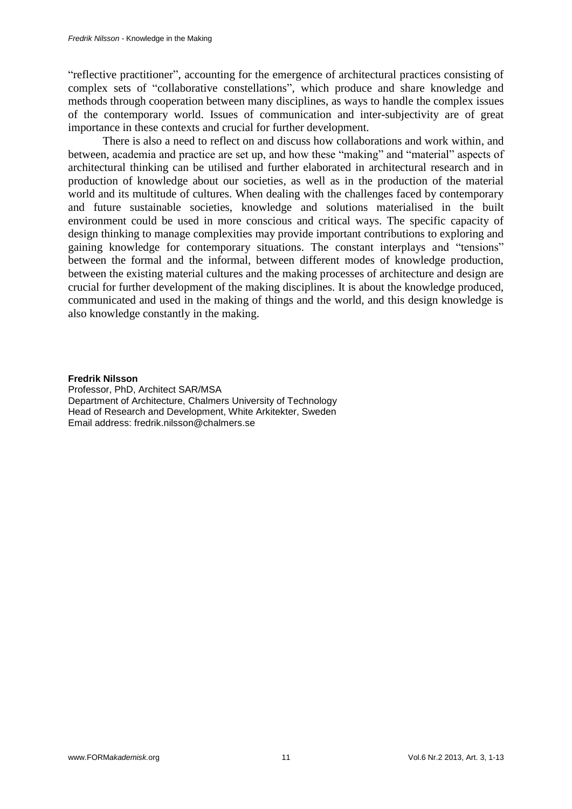"reflective practitioner", accounting for the emergence of architectural practices consisting of complex sets of "collaborative constellations", which produce and share knowledge and methods through cooperation between many disciplines, as ways to handle the complex issues of the contemporary world. Issues of communication and inter-subjectivity are of great importance in these contexts and crucial for further development.

There is also a need to reflect on and discuss how collaborations and work within, and between, academia and practice are set up, and how these "making" and "material" aspects of architectural thinking can be utilised and further elaborated in architectural research and in production of knowledge about our societies, as well as in the production of the material world and its multitude of cultures. When dealing with the challenges faced by contemporary and future sustainable societies, knowledge and solutions materialised in the built environment could be used in more conscious and critical ways. The specific capacity of design thinking to manage complexities may provide important contributions to exploring and gaining knowledge for contemporary situations. The constant interplays and "tensions" between the formal and the informal, between different modes of knowledge production, between the existing material cultures and the making processes of architecture and design are crucial for further development of the making disciplines. It is about the knowledge produced, communicated and used in the making of things and the world, and this design knowledge is also knowledge constantly in the making.

#### **Fredrik Nilsson**

Professor, PhD, Architect SAR/MSA Department of Architecture, Chalmers University of Technology Head of Research and Development, White Arkitekter, Sweden Email address: fredrik.nilsson@chalmers.se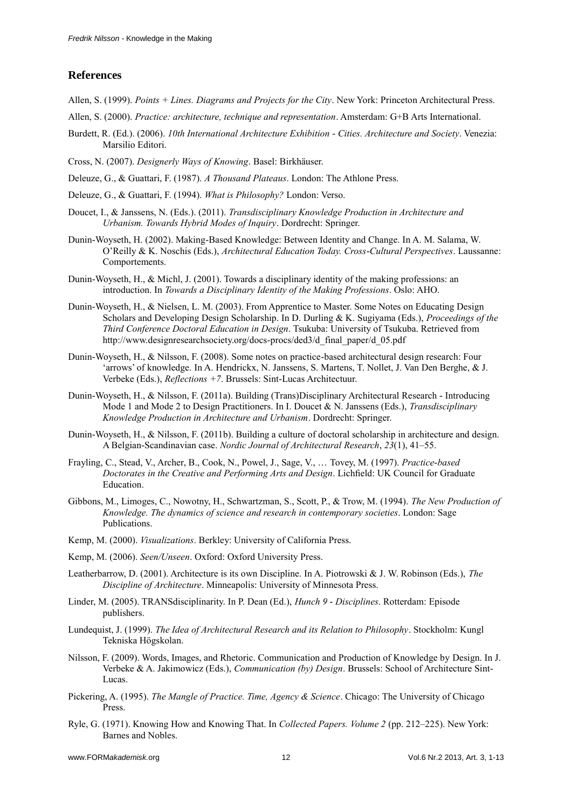#### **References**

- Allen, S. (1999). *Points + Lines. Diagrams and Projects for the City*. New York: Princeton Architectural Press.
- Allen, S. (2000). *Practice: architecture, technique and representation*. Amsterdam: G+B Arts International.
- Burdett, R. (Ed.). (2006). *10th International Architecture Exhibition - Cities. Architecture and Society*. Venezia: Marsilio Editori.
- Cross, N. (2007). *Designerly Ways of Knowing*. Basel: Birkhäuser.
- Deleuze, G., & Guattari, F. (1987). *A Thousand Plateaus*. London: The Athlone Press.
- Deleuze, G., & Guattari, F. (1994). *What is Philosophy?* London: Verso.
- Doucet, I., & Janssens, N. (Eds.). (2011). *Transdisciplinary Knowledge Production in Architecture and Urbanism. Towards Hybrid Modes of Inquiry*. Dordrecht: Springer.
- Dunin-Woyseth, H. (2002). Making-Based Knowledge: Between Identity and Change. In A. M. Salama, W. O'Reilly & K. Noschis (Eds.), *Architectural Education Today. Cross-Cultural Perspectives*. Laussanne: Comportements.
- Dunin-Woyseth, H., & Michl, J. (2001). Towards a disciplinary identity of the making professions: an introduction. In *Towards a Disciplinary Identity of the Making Professions*. Oslo: AHO.
- Dunin-Woyseth, H., & Nielsen, L. M. (2003). From Apprentice to Master. Some Notes on Educating Design Scholars and Developing Design Scholarship. In D. Durling & K. Sugiyama (Eds.), *Proceedings of the Third Conference Doctoral Education in Design*. Tsukuba: University of Tsukuba. Retrieved from http://www.designresearchsociety.org/docs-procs/ded3/d\_final\_paper/d\_05.pdf
- Dunin-Woyseth, H., & Nilsson, F. (2008). Some notes on practice-based architectural design research: Four 'arrows' of knowledge. In A. Hendrickx, N. Janssens, S. Martens, T. Nollet, J. Van Den Berghe, & J. Verbeke (Eds.), *Reflections +7*. Brussels: Sint-Lucas Architectuur.
- Dunin-Woyseth, H., & Nilsson, F. (2011a). Building (Trans)Disciplinary Architectural Research Introducing Mode 1 and Mode 2 to Design Practitioners. In I. Doucet & N. Janssens (Eds.), *Transdisciplinary Knowledge Production in Architecture and Urbanism*. Dordrecht: Springer.
- Dunin-Woyseth, H., & Nilsson, F. (2011b). Building a culture of doctoral scholarship in architecture and design. A Belgian-Scandinavian case. *Nordic Journal of Architectural Research*, *23*(1), 41–55.
- Frayling, C., Stead, V., Archer, B., Cook, N., Powel, J., Sage, V., … Tovey, M. (1997). *Practice-based Doctorates in the Creative and Performing Arts and Design*. Lichfield: UK Council for Graduate Education.
- Gibbons, M., Limoges, C., Nowotny, H., Schwartzman, S., Scott, P., & Trow, M. (1994). *The New Production of Knowledge. The dynamics of science and research in contemporary societies*. London: Sage Publications.
- Kemp, M. (2000). *Visualizations*. Berkley: University of California Press.
- Kemp, M. (2006). *Seen/Unseen*. Oxford: Oxford University Press.
- Leatherbarrow, D. (2001). Architecture is its own Discipline. In A. Piotrowski & J. W. Robinson (Eds.), *The Discipline of Architecture*. Minneapolis: University of Minnesota Press.
- Linder, M. (2005). TRANSdisciplinarity. In P. Dean (Ed.), *Hunch 9 - Disciplines*. Rotterdam: Episode publishers.
- Lundequist, J. (1999). *The Idea of Architectural Research and its Relation to Philosophy*. Stockholm: Kungl Tekniska Högskolan.
- Nilsson, F. (2009). Words, Images, and Rhetoric. Communication and Production of Knowledge by Design. In J. Verbeke & A. Jakimowicz (Eds.), *Communication (by) Design*. Brussels: School of Architecture Sint-Lucas.
- Pickering, A. (1995). *The Mangle of Practice. Time, Agency & Science*. Chicago: The University of Chicago Press.
- Ryle, G. (1971). Knowing How and Knowing That. In *Collected Papers. Volume 2* (pp. 212–225). New York: Barnes and Nobles.